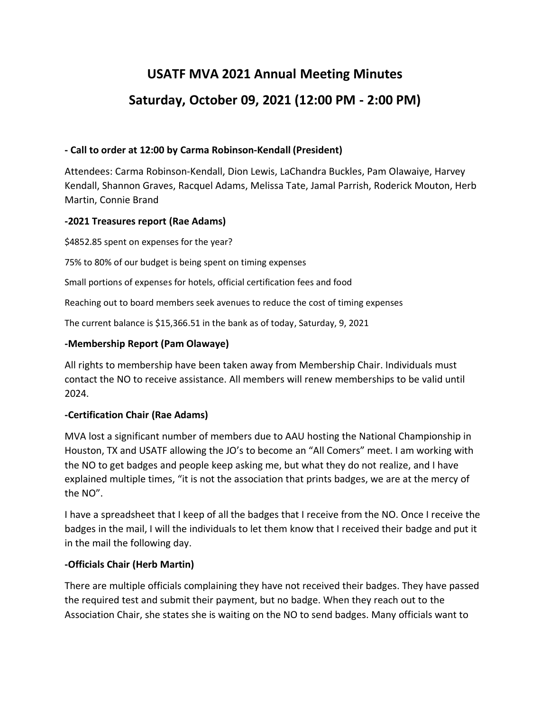# **USATF MVA 2021 Annual Meeting Minutes Saturday, October 09, 2021 (12:00 PM - 2:00 PM)**

## **- Call to order at 12:00 by Carma Robinson-Kendall (President)**

Attendees: Carma Robinson-Kendall, Dion Lewis, LaChandra Buckles, Pam Olawaiye, Harvey Kendall, Shannon Graves, Racquel Adams, Melissa Tate, Jamal Parrish, Roderick Mouton, Herb Martin, Connie Brand

# **-2021 Treasures report (Rae Adams)**

\$4852.85 spent on expenses for the year?

75% to 80% of our budget is being spent on timing expenses

Small portions of expenses for hotels, official certification fees and food

Reaching out to board members seek avenues to reduce the cost of timing expenses

The current balance is \$15,366.51 in the bank as of today, Saturday, 9, 2021

# **-Membership Report (Pam Olawaye)**

All rights to membership have been taken away from Membership Chair. Individuals must contact the NO to receive assistance. All members will renew memberships to be valid until 2024.

## **-Certification Chair (Rae Adams)**

MVA lost a significant number of members due to AAU hosting the National Championship in Houston, TX and USATF allowing the JO's to become an "All Comers" meet. I am working with the NO to get badges and people keep asking me, but what they do not realize, and I have explained multiple times, "it is not the association that prints badges, we are at the mercy of the NO".

I have a spreadsheet that I keep of all the badges that I receive from the NO. Once I receive the badges in the mail, I will the individuals to let them know that I received their badge and put it in the mail the following day.

## **-Officials Chair (Herb Martin)**

There are multiple officials complaining they have not received their badges. They have passed the required test and submit their payment, but no badge. When they reach out to the Association Chair, she states she is waiting on the NO to send badges. Many officials want to